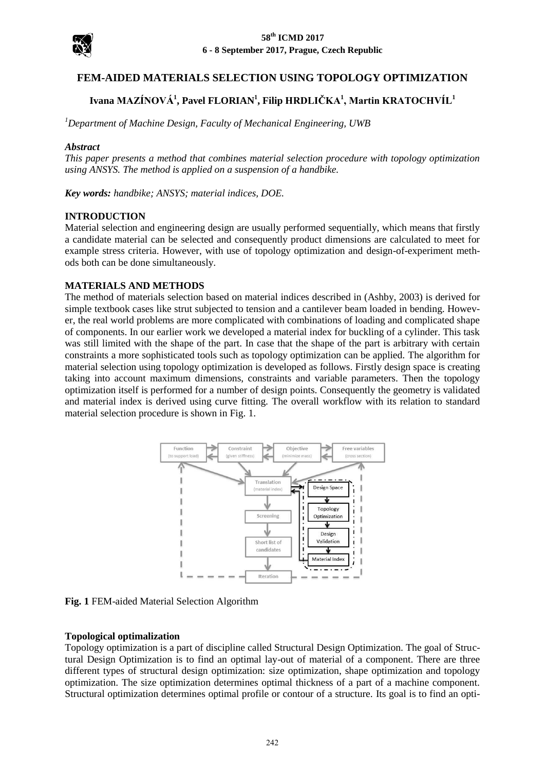

# **FEM-AIDED MATERIALS SELECTION USING TOPOLOGY OPTIMIZATION**

# **Ivana MAZÍNOVÁ<sup>1</sup> , Pavel FLORIAN<sup>1</sup> , Filip HRDLIČKA<sup>1</sup> , Martin KRATOCHVÍL<sup>1</sup>**

*<sup>1</sup>Department of Machine Design, Faculty of Mechanical Engineering, UWB* 

#### *Abstract*

*This paper presents a method that combines material selection procedure with topology optimization using ANSYS. The method is applied on a suspension of a handbike.* 

*Key words: handbike; ANSYS; material indices, DOE.* 

# **INTRODUCTION**

Material selection and engineering design are usually performed sequentially, which means that firstly a candidate material can be selected and consequently product dimensions are calculated to meet for example stress criteria. However, with use of topology optimization and design-of-experiment methods both can be done simultaneously.

# **MATERIALS AND METHODS**

The method of materials selection based on material indices described in (Ashby, 2003) is derived for simple textbook cases like strut subjected to tension and a cantilever beam loaded in bending. However, the real world problems are more complicated with combinations of loading and complicated shape of components. In our earlier work we developed a material index for buckling of a cylinder. This task was still limited with the shape of the part. In case that the shape of the part is arbitrary with certain constraints a more sophisticated tools such as topology optimization can be applied. The algorithm for material selection using topology optimization is developed as follows. Firstly design space is creating taking into account maximum dimensions, constraints and variable parameters. Then the topology optimization itself is performed for a number of design points. Consequently the geometry is validated and material index is derived using curve fitting. The overall workflow with its relation to standard material selection procedure is shown in Fig. 1.



**Fig. 1** FEM-aided Material Selection Algorithm

#### **Topological optimalization**

Topology optimization is a part of discipline called Structural Design Optimization. The goal of Structural Design Optimization is to find an optimal lay-out of material of a component. There are three different types of structural design optimization: size optimization, shape optimization and topology optimization. The size optimization determines optimal thickness of a part of a machine component. Structural optimization determines optimal profile or contour of a structure. Its goal is to find an opti-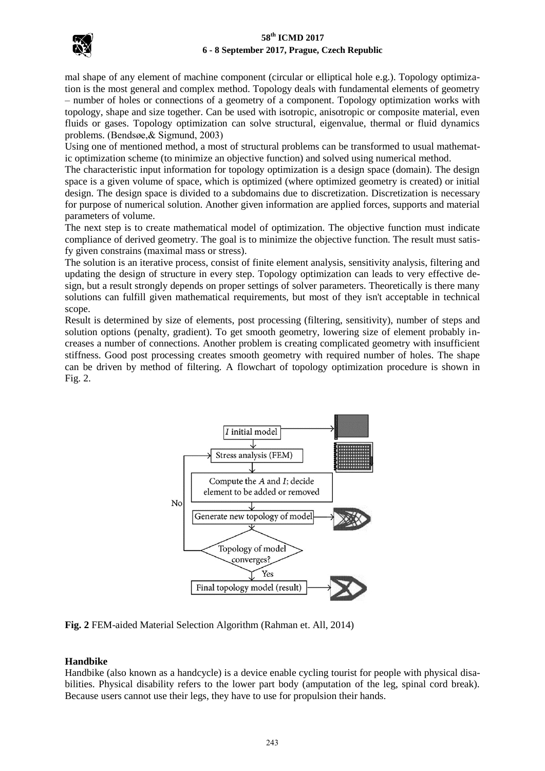# **58th ICMD 2017 6 - 8 September 2017, Prague, Czech Republic**



mal shape of any element of machine component (circular or elliptical hole e.g.). Topology optimization is the most general and complex method. Topology deals with fundamental elements of geometry – number of holes or connections of a geometry of a component. Topology optimization works with topology, shape and size together. Can be used with isotropic, anisotropic or composite material, even fluids or gases. Topology optimization can solve structural, eigenvalue, thermal or fluid dynamics problems. (Bendsøe,& Sigmund, 2003)

Using one of mentioned method, a most of structural problems can be transformed to usual mathematic optimization scheme (to minimize an objective function) and solved using numerical method.

The characteristic input information for topology optimization is a design space (domain). The design space is a given volume of space, which is optimized (where optimized geometry is created) or initial design. The design space is divided to a subdomains due to discretization. Discretization is necessary for purpose of numerical solution. Another given information are applied forces, supports and material parameters of volume.

The next step is to create mathematical model of optimization. The objective function must indicate compliance of derived geometry. The goal is to minimize the objective function. The result must satisfy given constrains (maximal mass or stress).

The solution is an iterative process, consist of finite element analysis, sensitivity analysis, filtering and updating the design of structure in every step. Topology optimization can leads to very effective design, but a result strongly depends on proper settings of solver parameters. Theoretically is there many solutions can fulfill given mathematical requirements, but most of they isn't acceptable in technical scope.

Result is determined by size of elements, post processing (filtering, sensitivity), number of steps and solution options (penalty, gradient). To get smooth geometry, lowering size of element probably increases a number of connections. Another problem is creating complicated geometry with insufficient stiffness. Good post processing creates smooth geometry with required number of holes. The shape can be driven by method of filtering. A flowchart of topology optimization procedure is shown in Fig. 2.



**Fig. 2** FEM-aided Material Selection Algorithm (Rahman et. All, 2014)

# **Handbike**

Handbike (also known as a handcycle) is a device enable cycling tourist for people with physical disabilities. Physical disability refers to the lower part body (amputation of the leg, spinal cord break). Because users cannot use their legs, they have to use for propulsion their hands.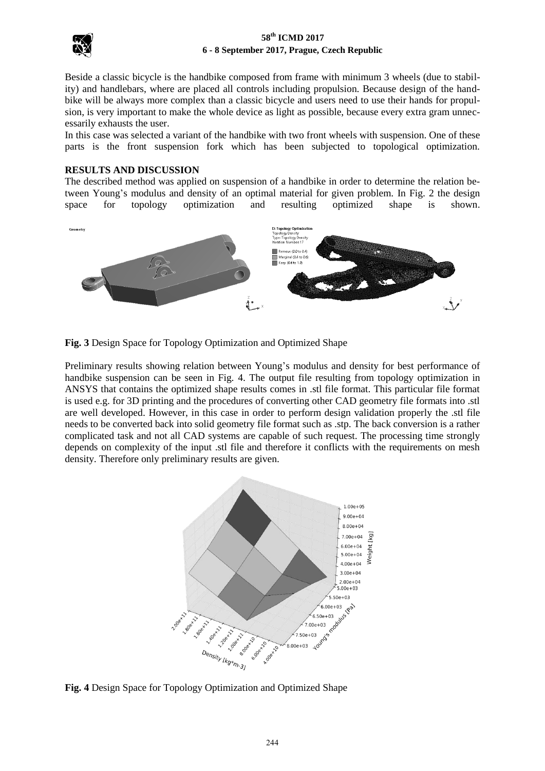

# **58th ICMD 2017 6 - 8 September 2017, Prague, Czech Republic**

Beside a classic bicycle is the handbike composed from frame with minimum 3 wheels (due to stability) and handlebars, where are placed all controls including propulsion. Because design of the handbike will be always more complex than a classic bicycle and users need to use their hands for propulsion, is very important to make the whole device as light as possible, because every extra gram unnecessarily exhausts the user.

In this case was selected a variant of the handbike with two front wheels with suspension. One of these parts is the front suspension fork which has been subjected to topological optimization.

#### **RESULTS AND DISCUSSION**

The described method was applied on suspension of a handbike in order to determine the relation between Young's modulus and density of an optimal material for given problem. In Fig. 2 the design space for topology optimization and resulting optimized shape is shown.



**Fig. 3** Design Space for Topology Optimization and Optimized Shape

Preliminary results showing relation between Young's modulus and density for best performance of handbike suspension can be seen in Fig. 4. The output file resulting from topology optimization in ANSYS that contains the optimized shape results comes in .stl file format. This particular file format is used e.g. for 3D printing and the procedures of converting other CAD geometry file formats into .stl are well developed. However, in this case in order to perform design validation properly the .stl file needs to be converted back into solid geometry file format such as .stp. The back conversion is a rather complicated task and not all CAD systems are capable of such request. The processing time strongly depends on complexity of the input .stl file and therefore it conflicts with the requirements on mesh density. Therefore only preliminary results are given.



**Fig. 4** Design Space for Topology Optimization and Optimized Shape